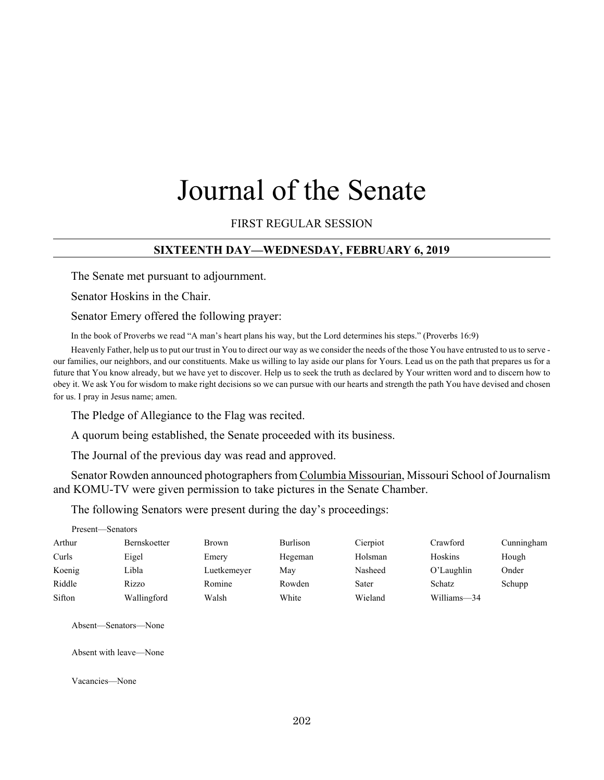# Journal of the Senate

## FIRST REGULAR SESSION

#### **SIXTEENTH DAY—WEDNESDAY, FEBRUARY 6, 2019**

The Senate met pursuant to adjournment.

Senator Hoskins in the Chair.

Senator Emery offered the following prayer:

In the book of Proverbs we read "A man's heart plans his way, but the Lord determines his steps." (Proverbs 16:9)

Heavenly Father, help us to put our trust in You to direct our way as we consider the needs of the those You have entrusted to us to serve our families, our neighbors, and our constituents. Make us willing to lay aside our plans for Yours. Lead us on the path that prepares us for a future that You know already, but we have yet to discover. Help us to seek the truth as declared by Your written word and to discern how to obey it. We ask You for wisdom to make right decisions so we can pursue with our hearts and strength the path You have devised and chosen for us. I pray in Jesus name; amen.

The Pledge of Allegiance to the Flag was recited.

A quorum being established, the Senate proceeded with its business.

The Journal of the previous day was read and approved.

Senator Rowden announced photographers from Columbia Missourian, Missouri School of Journalism and KOMU-TV were given permission to take pictures in the Senate Chamber.

The following Senators were present during the day's proceedings:

| Present—Senators |                     |              |          |          |               |            |
|------------------|---------------------|--------------|----------|----------|---------------|------------|
| Arthur           | <b>Bernskoetter</b> | <b>Brown</b> | Burlison | Cierpiot | Crawford      | Cunningham |
| Curls            | Eigel               | Emery        | Hegeman  | Holsman  | Hoskins       | Hough      |
| Koenig           | Libla               | Luetkemeyer  | May      | Nasheed  | O'Laughlin    | Onder      |
| Riddle           | <b>Rizzo</b>        | Romine       | Rowden   | Sater    | <b>Schatz</b> | Schupp     |
| Sifton           | Wallingford         | Walsh        | White    | Wieland  | Williams-34   |            |

Absent—Senators—None

Absent with leave—None

Vacancies—None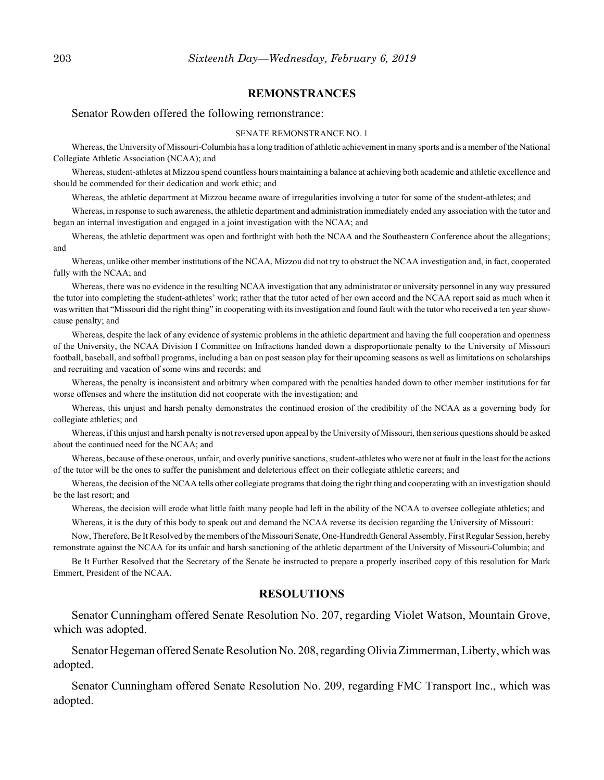#### **REMONSTRANCES**

#### Senator Rowden offered the following remonstrance:

#### SENATE REMONSTRANCE NO. 1

Whereas, the University of Missouri-Columbia has a long tradition of athletic achievement in many sports and is a member of the National Collegiate Athletic Association (NCAA); and

Whereas, student-athletes at Mizzou spend countless hours maintaining a balance at achieving both academic and athletic excellence and should be commended for their dedication and work ethic; and

Whereas, the athletic department at Mizzou became aware of irregularities involving a tutor for some of the student-athletes; and

Whereas, in response to such awareness, the athletic department and administration immediately ended any association with the tutor and began an internal investigation and engaged in a joint investigation with the NCAA; and

Whereas, the athletic department was open and forthright with both the NCAA and the Southeastern Conference about the allegations; and

Whereas, unlike other member institutions of the NCAA, Mizzou did not try to obstruct the NCAA investigation and, in fact, cooperated fully with the NCAA; and

Whereas, there was no evidence in the resulting NCAA investigation that any administrator or university personnel in any way pressured the tutor into completing the student-athletes' work; rather that the tutor acted of her own accord and the NCAA report said as much when it was written that "Missouri did the right thing" in cooperating with its investigation and found fault with the tutor who received a ten year showcause penalty; and

Whereas, despite the lack of any evidence of systemic problems in the athletic department and having the full cooperation and openness of the University, the NCAA Division I Committee on Infractions handed down a disproportionate penalty to the University of Missouri football, baseball, and softball programs, including a ban on post season play for their upcoming seasons as well as limitations on scholarships and recruiting and vacation of some wins and records; and

Whereas, the penalty is inconsistent and arbitrary when compared with the penalties handed down to other member institutions for far worse offenses and where the institution did not cooperate with the investigation; and

Whereas, this unjust and harsh penalty demonstrates the continued erosion of the credibility of the NCAA as a governing body for collegiate athletics; and

Whereas, if this unjust and harsh penalty is not reversed upon appeal by the University of Missouri, then serious questions should be asked about the continued need for the NCAA; and

Whereas, because of these onerous, unfair, and overly punitive sanctions, student-athletes who were not at fault in the least for the actions of the tutor will be the ones to suffer the punishment and deleterious effect on their collegiate athletic careers; and

Whereas, the decision of the NCAA tells other collegiate programs that doing the right thing and cooperating with an investigation should be the last resort; and

Whereas, the decision will erode what little faith many people had left in the ability of the NCAA to oversee collegiate athletics; and

Whereas, it is the duty of this body to speak out and demand the NCAA reverse its decision regarding the University of Missouri:

Now, Therefore, Be It Resolved by the members of the Missouri Senate, One-Hundredth General Assembly, First Regular Session, hereby remonstrate against the NCAA for its unfair and harsh sanctioning of the athletic department of the University of Missouri-Columbia; and

Be It Further Resolved that the Secretary of the Senate be instructed to prepare a properly inscribed copy of this resolution for Mark Emmert, President of the NCAA.

#### **RESOLUTIONS**

Senator Cunningham offered Senate Resolution No. 207, regarding Violet Watson, Mountain Grove, which was adopted.

Senator Hegeman offered Senate Resolution No. 208, regarding Olivia Zimmerman, Liberty, which was adopted.

Senator Cunningham offered Senate Resolution No. 209, regarding FMC Transport Inc., which was adopted.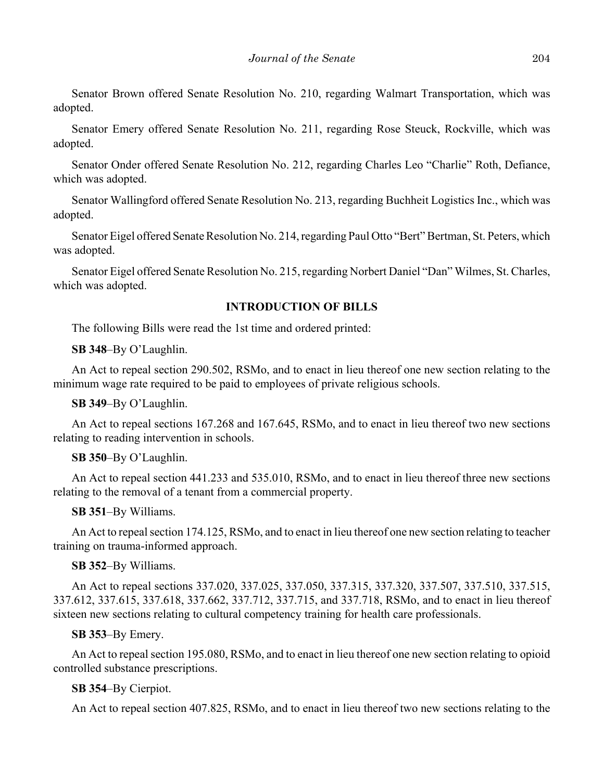Senator Brown offered Senate Resolution No. 210, regarding Walmart Transportation, which was adopted.

Senator Emery offered Senate Resolution No. 211, regarding Rose Steuck, Rockville, which was adopted.

Senator Onder offered Senate Resolution No. 212, regarding Charles Leo "Charlie" Roth, Defiance, which was adopted.

Senator Wallingford offered Senate Resolution No. 213, regarding Buchheit Logistics Inc., which was adopted.

Senator Eigel offered Senate Resolution No. 214, regarding Paul Otto "Bert" Bertman, St. Peters, which was adopted.

Senator Eigel offered Senate Resolution No. 215, regarding Norbert Daniel "Dan" Wilmes, St. Charles, which was adopted.

#### **INTRODUCTION OF BILLS**

The following Bills were read the 1st time and ordered printed:

**SB 348**–By O'Laughlin.

An Act to repeal section 290.502, RSMo, and to enact in lieu thereof one new section relating to the minimum wage rate required to be paid to employees of private religious schools.

**SB 349**–By O'Laughlin.

An Act to repeal sections 167.268 and 167.645, RSMo, and to enact in lieu thereof two new sections relating to reading intervention in schools.

#### **SB 350**–By O'Laughlin.

An Act to repeal section 441.233 and 535.010, RSMo, and to enact in lieu thereof three new sections relating to the removal of a tenant from a commercial property.

**SB 351**–By Williams.

An Act to repeal section 174.125, RSMo, and to enact in lieu thereof one new section relating to teacher training on trauma-informed approach.

#### **SB 352**–By Williams.

An Act to repeal sections 337.020, 337.025, 337.050, 337.315, 337.320, 337.507, 337.510, 337.515, 337.612, 337.615, 337.618, 337.662, 337.712, 337.715, and 337.718, RSMo, and to enact in lieu thereof sixteen new sections relating to cultural competency training for health care professionals.

#### **SB 353**–By Emery.

An Act to repeal section 195.080, RSMo, and to enact in lieu thereof one new section relating to opioid controlled substance prescriptions.

#### **SB 354**–By Cierpiot.

An Act to repeal section 407.825, RSMo, and to enact in lieu thereof two new sections relating to the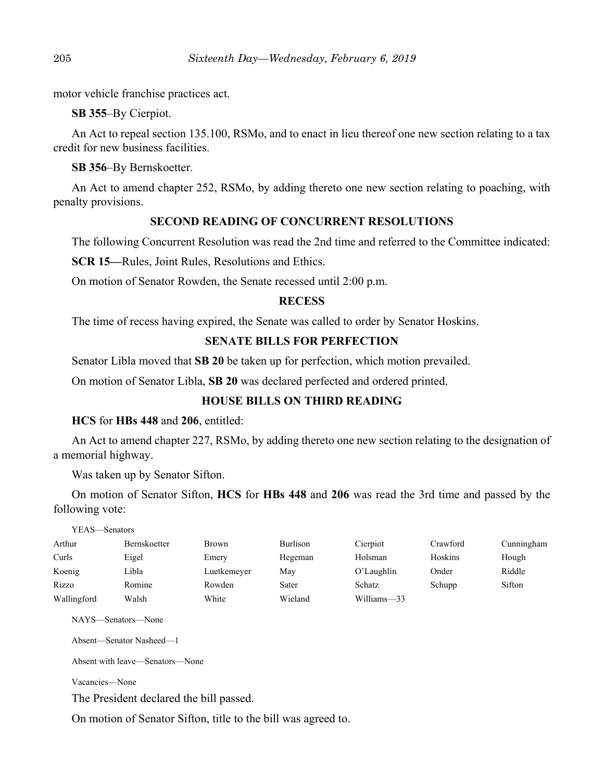motor vehicle franchise practices act.

**SB 355**–By Cierpiot.

An Act to repeal section 135.100, RSMo, and to enact in lieu thereof one new section relating to a tax credit for new business facilities.

**SB 356**–By Bernskoetter.

An Act to amend chapter 252, RSMo, by adding thereto one new section relating to poaching, with penalty provisions.

# **SECOND READING OF CONCURRENT RESOLUTIONS**

The following Concurrent Resolution was read the 2nd time and referred to the Committee indicated:

**SCR 15—**Rules, Joint Rules, Resolutions and Ethics.

On motion of Senator Rowden, the Senate recessed until 2:00 p.m.

## **RECESS**

The time of recess having expired, the Senate was called to order by Senator Hoskins.

# **SENATE BILLS FOR PERFECTION**

Senator Libla moved that **SB 20** be taken up for perfection, which motion prevailed.

On motion of Senator Libla, **SB 20** was declared perfected and ordered printed.

# **HOUSE BILLS ON THIRD READING**

## **HCS** for **HBs 448** and **206**, entitled:

An Act to amend chapter 227, RSMo, by adding thereto one new section relating to the designation of a memorial highway.

Was taken up by Senator Sifton.

On motion of Senator Sifton, **HCS** for **HBs 448** and **206** was read the 3rd time and passed by the following vote:

| YEAS—Senators |              |              |          |             |          |            |
|---------------|--------------|--------------|----------|-------------|----------|------------|
| Arthur        | Bernskoetter | <b>Brown</b> | Burlison | Cierpiot    | Crawford | Cunningham |
| Curls         | Eigel        | Emery        | Hegeman  | Holsman     | Hoskins  | Hough      |
| Koenig        | Libla        | Luetkemeyer  | May      | O'Laughlin  | Onder    | Riddle     |
| Rizzo         | Romine       | Rowden       | Sater    | Schatz      | Schupp   | Sifton     |
| Wallingford   | Walsh        | White        | Wieland  | Williams-33 |          |            |

NAYS—Senators—None

Absent—Senator Nasheed—1

Absent with leave—Senators—None

Vacancies—None

The President declared the bill passed.

On motion of Senator Sifton, title to the bill was agreed to.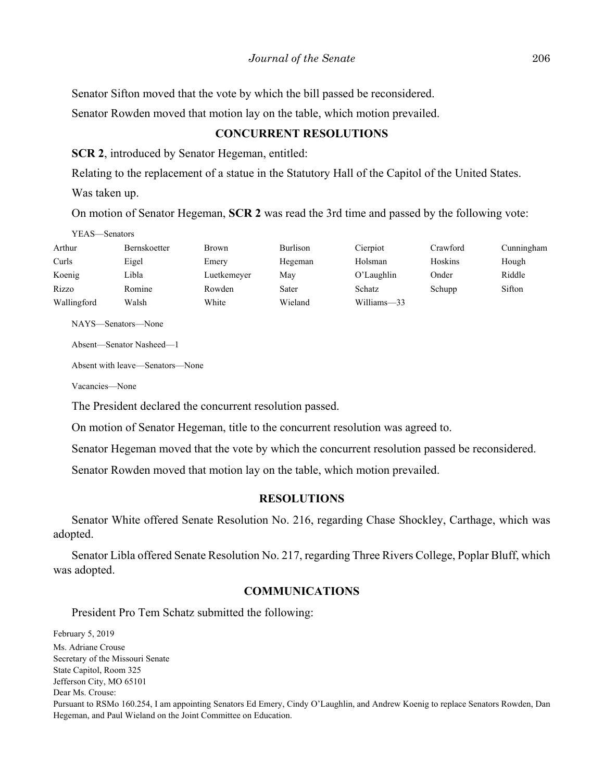Senator Sifton moved that the vote by which the bill passed be reconsidered.

Senator Rowden moved that motion lay on the table, which motion prevailed.

## **CONCURRENT RESOLUTIONS**

**SCR 2**, introduced by Senator Hegeman, entitled:

Relating to the replacement of a statue in the Statutory Hall of the Capitol of the United States.

Was taken up.

On motion of Senator Hegeman, **SCR 2** was read the 3rd time and passed by the following vote:

| YEAS—Senators |                     |              |                 |               |          |            |
|---------------|---------------------|--------------|-----------------|---------------|----------|------------|
| Arthur        | <b>Bernskoetter</b> | <b>Brown</b> | <b>Burlison</b> | Cierpiot      | Crawford | Cunningham |
| Curls         | Eigel               | Emery        | Hegeman         | Holsman       | Hoskins  | Hough      |
| Koenig        | Libla               | Luetkemeyer  | Mav             | O'Laughlin    | Onder    | Riddle     |
| Rizzo         | Romine              | Rowden       | Sater           | <b>Schatz</b> | Schupp   | Sifton     |
| Wallingford   | Walsh               | White        | Wieland         | Williams-33   |          |            |

NAYS—Senators—None

Absent—Senator Nasheed—1

Absent with leave—Senators—None

Vacancies—None

The President declared the concurrent resolution passed.

On motion of Senator Hegeman, title to the concurrent resolution was agreed to.

Senator Hegeman moved that the vote by which the concurrent resolution passed be reconsidered.

Senator Rowden moved that motion lay on the table, which motion prevailed.

## **RESOLUTIONS**

Senator White offered Senate Resolution No. 216, regarding Chase Shockley, Carthage, which was adopted.

Senator Libla offered Senate Resolution No. 217, regarding Three Rivers College, Poplar Bluff, which was adopted.

# **COMMUNICATIONS**

President Pro Tem Schatz submitted the following:

February 5, 2019 Ms. Adriane Crouse Secretary of the Missouri Senate State Capitol, Room 325 Jefferson City, MO 65101 Dear Ms. Crouse: Pursuant to RSMo 160.254, I am appointing Senators Ed Emery, Cindy O'Laughlin, and Andrew Koenig to replace Senators Rowden, Dan Hegeman, and Paul Wieland on the Joint Committee on Education.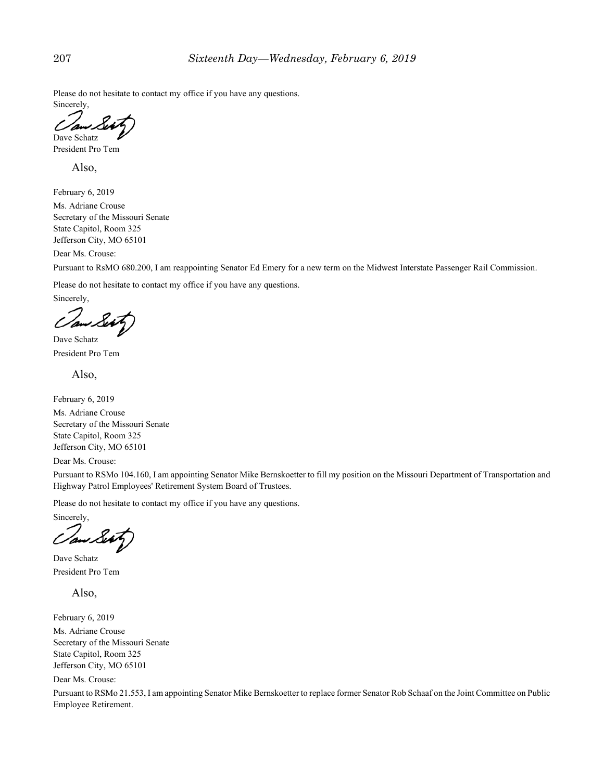Please do not hesitate to contact my office if you have any questions. Sincerely,

Dave Schatz President Pro Tem

Also,

February 6, 2019

Ms. Adriane Crouse Secretary of the Missouri Senate State Capitol, Room 325 Jefferson City, MO 65101

Dear Ms. Crouse:

Pursuant to RsMO 680.200, I am reappointing Senator Ed Emery for a new term on the Midwest Interstate Passenger Rail Commission.

Please do not hesitate to contact my office if you have any questions.

Sincerely,

Dave Schatz President Pro Tem

Also,

February 6, 2019

Ms. Adriane Crouse Secretary of the Missouri Senate State Capitol, Room 325 Jefferson City, MO 65101

Dear Ms. Crouse:

Pursuant to RSMo 104.160, I am appointing Senator Mike Bernskoetter to fill my position on the Missouri Department of Transportation and Highway Patrol Employees' Retirement System Board of Trustees.

Please do not hesitate to contact my office if you have any questions.

Sincerely,

Dave Schatz President Pro Tem

Also,

February 6, 2019

Ms. Adriane Crouse Secretary of the Missouri Senate State Capitol, Room 325 Jefferson City, MO 65101

Dear Ms. Crouse:

Pursuant to RSMo 21.553, I am appointing Senator Mike Bernskoetter to replace former Senator Rob Schaaf on the Joint Committee on Public Employee Retirement.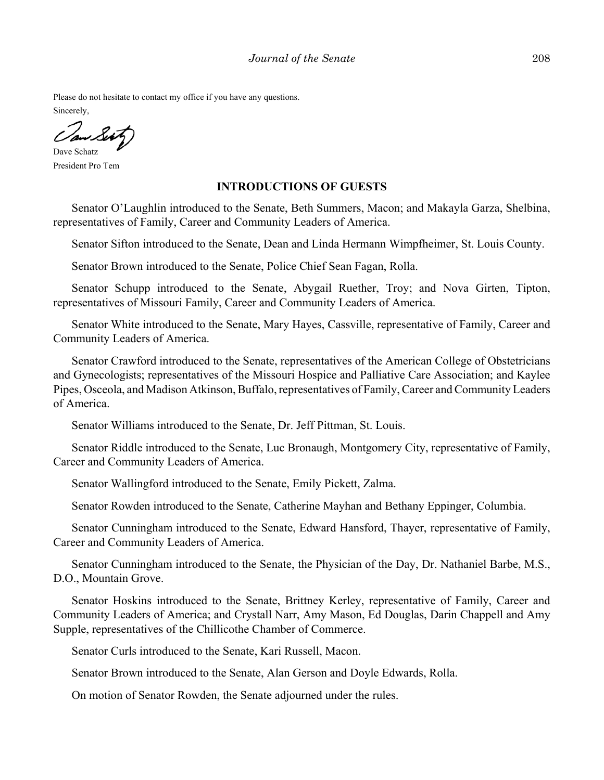Please do not hesitate to contact my office if you have any questions.

Sincerely,

Dave Schatz President Pro Tem

#### **INTRODUCTIONS OF GUESTS**

Senator O'Laughlin introduced to the Senate, Beth Summers, Macon; and Makayla Garza, Shelbina, representatives of Family, Career and Community Leaders of America.

Senator Sifton introduced to the Senate, Dean and Linda Hermann Wimpfheimer, St. Louis County.

Senator Brown introduced to the Senate, Police Chief Sean Fagan, Rolla.

Senator Schupp introduced to the Senate, Abygail Ruether, Troy; and Nova Girten, Tipton, representatives of Missouri Family, Career and Community Leaders of America.

Senator White introduced to the Senate, Mary Hayes, Cassville, representative of Family, Career and Community Leaders of America.

Senator Crawford introduced to the Senate, representatives of the American College of Obstetricians and Gynecologists; representatives of the Missouri Hospice and Palliative Care Association; and Kaylee Pipes, Osceola, and Madison Atkinson, Buffalo, representatives of Family, Career and Community Leaders of America.

Senator Williams introduced to the Senate, Dr. Jeff Pittman, St. Louis.

Senator Riddle introduced to the Senate, Luc Bronaugh, Montgomery City, representative of Family, Career and Community Leaders of America.

Senator Wallingford introduced to the Senate, Emily Pickett, Zalma.

Senator Rowden introduced to the Senate, Catherine Mayhan and Bethany Eppinger, Columbia.

Senator Cunningham introduced to the Senate, Edward Hansford, Thayer, representative of Family, Career and Community Leaders of America.

Senator Cunningham introduced to the Senate, the Physician of the Day, Dr. Nathaniel Barbe, M.S., D.O., Mountain Grove.

Senator Hoskins introduced to the Senate, Brittney Kerley, representative of Family, Career and Community Leaders of America; and Crystall Narr, Amy Mason, Ed Douglas, Darin Chappell and Amy Supple, representatives of the Chillicothe Chamber of Commerce.

Senator Curls introduced to the Senate, Kari Russell, Macon.

Senator Brown introduced to the Senate, Alan Gerson and Doyle Edwards, Rolla.

On motion of Senator Rowden, the Senate adjourned under the rules.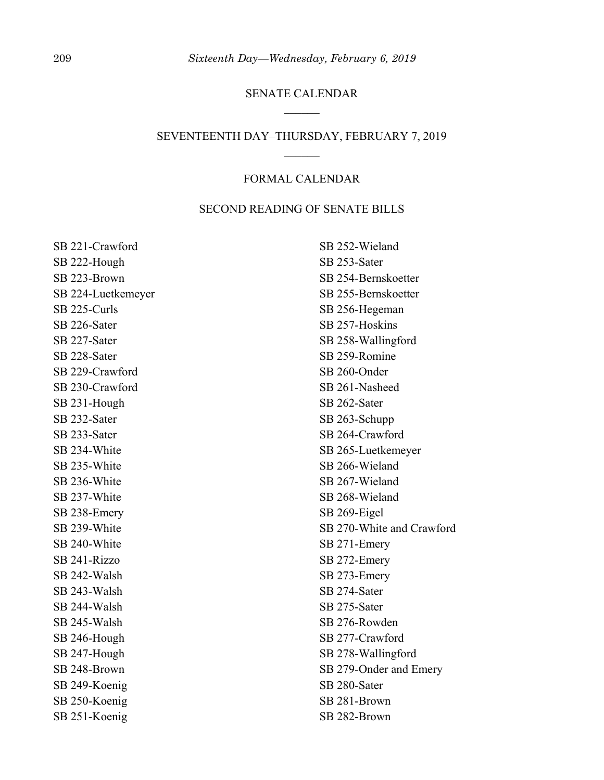## SENATE CALENDAR

#### SEVENTEENTH DAY–THURSDAY, FEBRUARY 7, 2019

## FORMAL CALENDAR

#### SECOND READING OF SENATE BILLS

SB 221-Crawford SB 222-Hough SB 223-Brown SB 224-Luetkemeyer SB 225-Curls SB 226-Sater SB 227-Sater SB 228-Sater SB 229-Crawford SB 230-Crawford SB 231-Hough SB 232-Sater SB 233-Sater SB 234-White SB 235-White SB 236-White SB 237-White SB 238-Emery SB 239-White SB 240-White SB 241-Rizzo SB 242-Walsh SB 243-Walsh SB 244-Walsh SB 245-Walsh SB 246-Hough SB 247-Hough SB 248-Brown SB 249-Koenig SB 250-Koenig SB 251-Koenig

SB 252-Wieland SB 253-Sater SB 254-Bernskoetter SB 255-Bernskoetter SB 256-Hegeman SB 257-Hoskins SB 258-Wallingford SB 259-Romine SB 260-Onder SB 261-Nasheed SB 262-Sater SB 263-Schupp SB 264-Crawford SB 265-Luetkemeyer SB 266-Wieland SB 267-Wieland SB 268-Wieland SB 269-Eigel SB 270-White and Crawford SB 271-Emery SB 272-Emery SB 273-Emery SB 274-Sater SB 275-Sater SB 276-Rowden SB 277-Crawford SB 278-Wallingford SB 279-Onder and Emery SB 280-Sater SB 281-Brown SB 282-Brown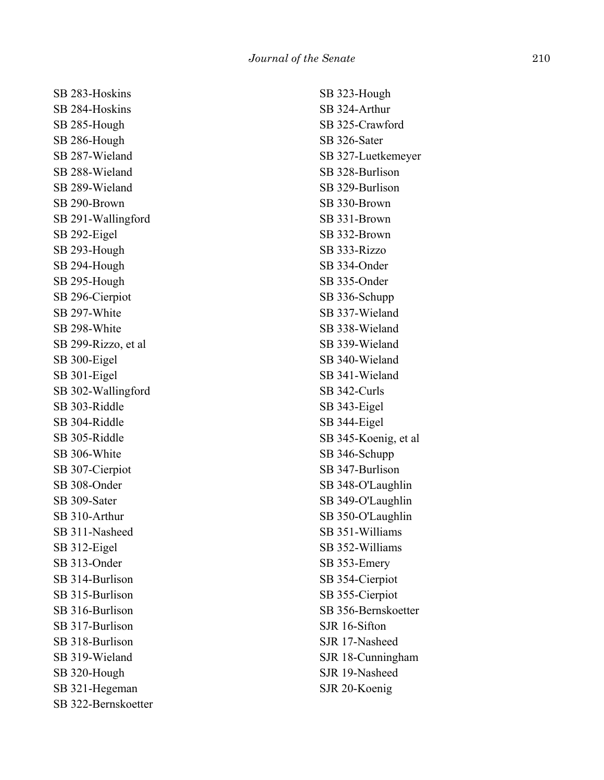SB 283-Hoskins SB 284-Hoskins SB 285-Hough SB 286-Hough SB 287-Wieland SB 288-Wieland SB 289-Wieland SB 290-Brown SB 291-Wallingford SB 292-Eigel SB 293-Hough SB 294-Hough SB 295-Hough SB 296-Cierpiot SB 297-White SB 298-White SB 299-Rizzo, et al SB 300-Eigel SB 301-Eigel SB 302-Wallingford SB 303-Riddle SB 304-Riddle SB 305-Riddle SB 306-White SB 307-Cierpiot SB 308-Onder SB 309-Sater SB 310-Arthur SB 311-Nasheed SB 312-Eigel SB 313-Onder SB 314-Burlison SB 315-Burlison SB 316-Burlison SB 317-Burlison SB 318-Burlison SB 319-Wieland SB 320-Hough SB 321-Hegeman SB 322-Bernskoetter SB 323-Hough SB 324-Arthur SB 325-Crawford SB 326-Sater SB 327-Luetkemeyer SB 328-Burlison SB 329-Burlison SB 330-Brown SB 331-Brown SB 332-Brown SB 333-Rizzo SB 334-Onder SB 335-Onder SB 336-Schupp SB 337-Wieland SB 338-Wieland SB 339-Wieland SB 340-Wieland SB 341-Wieland SB 342-Curls SB 343-Eigel SB 344-Eigel SB 345-Koenig, et al SB 346-Schupp SB 347-Burlison SB 348-O'Laughlin SB 349-O'Laughlin SB 350-O'Laughlin SB 351-Williams SB 352-Williams SB 353-Emery SB 354-Cierpiot SB 355-Cierpiot SB 356-Bernskoetter SJR 16-Sifton SJR 17-Nasheed SJR 18-Cunningham SJR 19-Nasheed SJR 20-Koenig